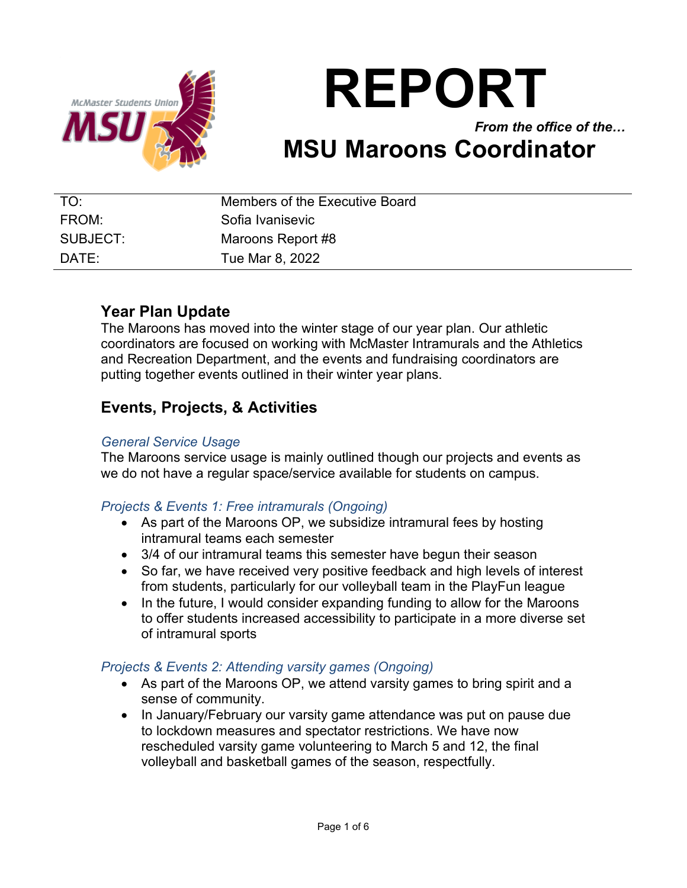

# **REPORT**

## *From the office of the…* **MSU Maroons Coordinator**

| TO:      | Members of the Executive Board |
|----------|--------------------------------|
| FROM:    | Sofia Ivanisevic               |
| SUBJECT: | Maroons Report #8              |
| DATE:    | Tue Mar 8, 2022                |

### **Year Plan Update**

The Maroons has moved into the winter stage of our year plan. Our athletic coordinators are focused on working with McMaster Intramurals and the Athletics and Recreation Department, and the events and fundraising coordinators are putting together events outlined in their winter year plans.

## **Events, Projects, & Activities**

#### *General Service Usage*

The Maroons service usage is mainly outlined though our projects and events as we do not have a regular space/service available for students on campus.

#### *Projects & Events 1: Free intramurals (Ongoing)*

- As part of the Maroons OP, we subsidize intramural fees by hosting intramural teams each semester
- 3/4 of our intramural teams this semester have begun their season
- So far, we have received very positive feedback and high levels of interest from students, particularly for our volleyball team in the PlayFun league
- In the future, I would consider expanding funding to allow for the Maroons to offer students increased accessibility to participate in a more diverse set of intramural sports

#### *Projects & Events 2: Attending varsity games (Ongoing)*

- As part of the Maroons OP, we attend varsity games to bring spirit and a sense of community.
- In January/February our varsity game attendance was put on pause due to lockdown measures and spectator restrictions. We have now rescheduled varsity game volunteering to March 5 and 12, the final volleyball and basketball games of the season, respectfully.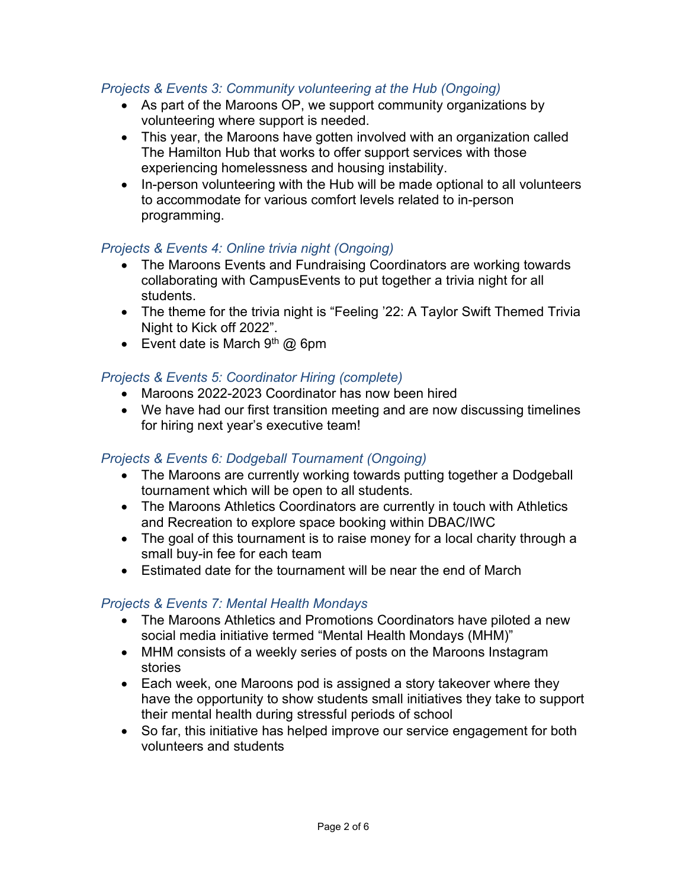#### *Projects & Events 3: Community volunteering at the Hub (Ongoing)*

- As part of the Maroons OP, we support community organizations by volunteering where support is needed.
- This year, the Maroons have gotten involved with an organization called The Hamilton Hub that works to offer support services with those experiencing homelessness and housing instability.
- In-person volunteering with the Hub will be made optional to all volunteers to accommodate for various comfort levels related to in-person programming.

#### *Projects & Events 4: Online trivia night (Ongoing)*

- The Maroons Events and Fundraising Coordinators are working towards collaborating with CampusEvents to put together a trivia night for all students.
- The theme for the trivia night is "Feeling '22: A Taylor Swift Themed Trivia Night to Kick off 2022".
- Event date is March  $9<sup>th</sup>$  @ 6pm

#### *Projects & Events 5: Coordinator Hiring (complete)*

- Maroons 2022-2023 Coordinator has now been hired
- We have had our first transition meeting and are now discussing timelines for hiring next year's executive team!

#### *Projects & Events 6: Dodgeball Tournament (Ongoing)*

- The Maroons are currently working towards putting together a Dodgeball tournament which will be open to all students.
- The Maroons Athletics Coordinators are currently in touch with Athletics and Recreation to explore space booking within DBAC/IWC
- The goal of this tournament is to raise money for a local charity through a small buy-in fee for each team
- Estimated date for the tournament will be near the end of March

#### *Projects & Events 7: Mental Health Mondays*

- The Maroons Athletics and Promotions Coordinators have piloted a new social media initiative termed "Mental Health Mondays (MHM)"
- MHM consists of a weekly series of posts on the Maroons Instagram stories
- Each week, one Maroons pod is assigned a story takeover where they have the opportunity to show students small initiatives they take to support their mental health during stressful periods of school
- So far, this initiative has helped improve our service engagement for both volunteers and students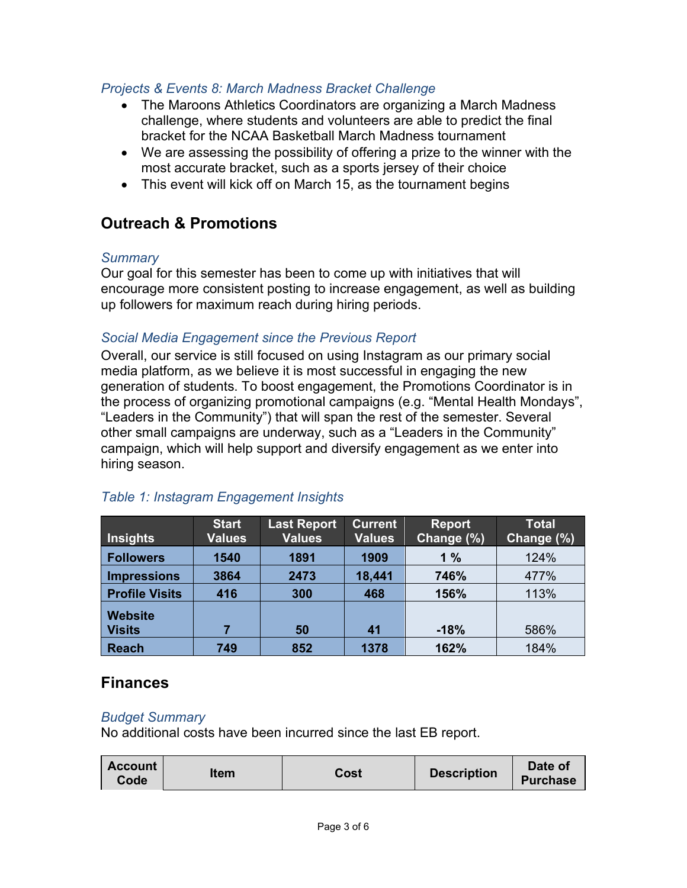#### *Projects & Events 8: March Madness Bracket Challenge*

- The Maroons Athletics Coordinators are organizing a March Madness challenge, where students and volunteers are able to predict the final bracket for the NCAA Basketball March Madness tournament
- We are assessing the possibility of offering a prize to the winner with the most accurate bracket, such as a sports jersey of their choice
- This event will kick off on March 15, as the tournament begins

## **Outreach & Promotions**

#### *Summary*

Our goal for this semester has been to come up with initiatives that will encourage more consistent posting to increase engagement, as well as building up followers for maximum reach during hiring periods.

#### *Social Media Engagement since the Previous Report*

Overall, our service is still focused on using Instagram as our primary social media platform, as we believe it is most successful in engaging the new generation of students. To boost engagement, the Promotions Coordinator is in the process of organizing promotional campaigns (e.g. "Mental Health Mondays", "Leaders in the Community") that will span the rest of the semester. Several other small campaigns are underway, such as a "Leaders in the Community" campaign, which will help support and diversify engagement as we enter into hiring season.

| <b>Insights</b>                 | <b>Start</b><br><b>Values</b> | <b>Last Report</b><br><b>Values</b> | <b>Current</b><br><b>Values</b> | <b>Report</b><br>Change (%) | <b>Total</b><br>Change (%) |
|---------------------------------|-------------------------------|-------------------------------------|---------------------------------|-----------------------------|----------------------------|
| <b>Followers</b>                | 1540                          | 1891                                | 1909                            | 1%                          | 124%                       |
| <b>Impressions</b>              | 3864                          | 2473                                | 18,441                          | 746%                        | 477%                       |
| <b>Profile Visits</b>           | 416                           | 300                                 | 468                             | 156%                        | 113%                       |
| <b>Website</b><br><b>Visits</b> |                               | 50                                  | 41                              | $-18%$                      | 586%                       |
| <b>Reach</b>                    | 749                           | 852                                 | 1378                            | 162%                        | 184%                       |

#### *Table 1: Instagram Engagement Insights*

#### **Finances**

#### *Budget Summary*

No additional costs have been incurred since the last EB report.

| <b>Account</b><br>ltem<br>Code | Cost | <b>Description</b> | Date of<br><b>Purchase</b> |
|--------------------------------|------|--------------------|----------------------------|
|--------------------------------|------|--------------------|----------------------------|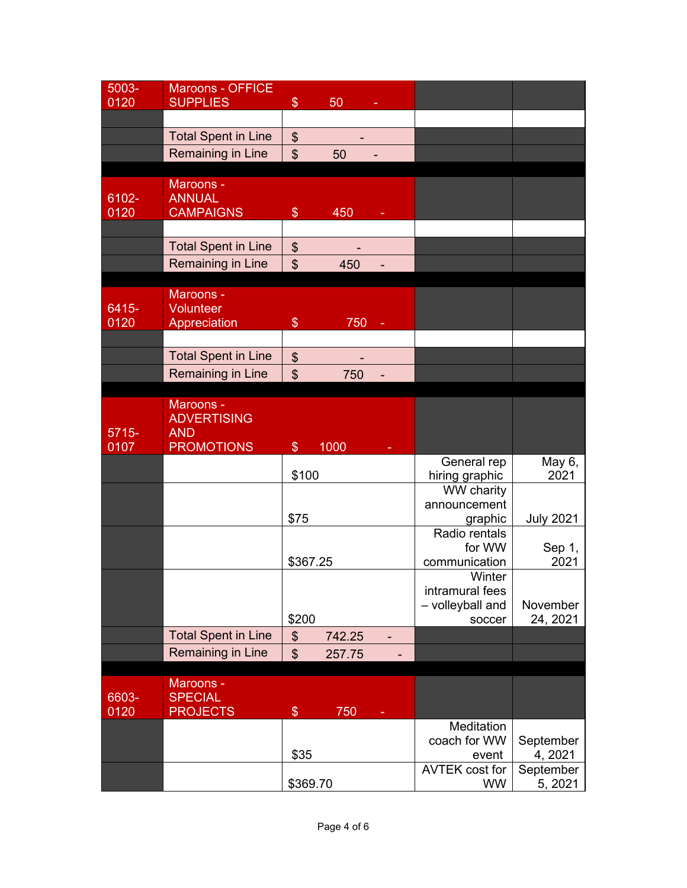| 5003-         | <b>Maroons - OFFICE</b>           |               |        |                       |                  |
|---------------|-----------------------------------|---------------|--------|-----------------------|------------------|
| 0120          | <b>SUPPLIES</b>                   | $\frac{1}{2}$ | 50     |                       |                  |
|               |                                   |               |        |                       |                  |
|               | <b>Total Spent in Line</b>        | \$            |        |                       |                  |
|               | <b>Remaining in Line</b>          | \$            | 50     |                       |                  |
|               |                                   |               |        |                       |                  |
|               | Maroons -                         |               |        |                       |                  |
| 6102-         | <b>ANNUAL</b>                     |               |        |                       |                  |
| 0120          | <b>CAMPAIGNS</b>                  | $\frac{1}{2}$ | 450    |                       |                  |
|               |                                   |               |        |                       |                  |
|               | <b>Total Spent in Line</b>        | $\frac{1}{2}$ |        |                       |                  |
|               | Remaining in Line                 |               |        |                       |                  |
|               |                                   | \$            | 450    |                       |                  |
|               | Maroons -                         |               |        |                       |                  |
| 6415-         | Volunteer                         |               |        |                       |                  |
| 0120          | Appreciation                      | \$            | 750    |                       |                  |
|               |                                   |               |        |                       |                  |
|               | <b>Total Spent in Line</b>        | $\frac{1}{2}$ |        |                       |                  |
|               | Remaining in Line                 | \$            | 750    |                       |                  |
|               |                                   |               |        |                       |                  |
|               | Maroons -                         |               |        |                       |                  |
|               | <b>ADVERTISING</b>                |               |        |                       |                  |
| $5715 -$      | <b>AND</b>                        |               |        |                       |                  |
|               |                                   |               |        |                       |                  |
| 0107          |                                   | $\$\$         | 1000   |                       |                  |
|               | <b>PROMOTIONS</b>                 |               |        | General rep           | May 6,           |
|               |                                   | \$100         |        | hiring graphic        | 2021             |
|               |                                   |               |        | WW charity            |                  |
|               |                                   |               |        | announcement          |                  |
|               |                                   | \$75          |        | graphic               | <b>July 2021</b> |
|               |                                   |               |        | Radio rentals         |                  |
|               |                                   |               |        | for WW                | Sep 1,           |
|               |                                   | \$367.25      |        | communication         | 2021             |
|               |                                   |               |        | Winter                |                  |
|               |                                   |               |        | intramural fees       |                  |
|               |                                   |               |        | - volleyball and      | November         |
|               |                                   | \$200         |        | soccer                | 24, 2021         |
|               | <b>Total Spent in Line</b>        | \$            | 742.25 |                       |                  |
|               | Remaining in Line                 | \$            | 257.75 |                       |                  |
|               |                                   |               |        |                       |                  |
|               | Maroons -                         |               |        |                       |                  |
| 6603-<br>0120 | <b>SPECIAL</b><br><b>PROJECTS</b> | $\frac{1}{2}$ | 750    |                       |                  |
|               |                                   |               |        | Meditation            |                  |
|               |                                   |               |        | coach for WW          | September        |
|               |                                   | \$35          |        | event                 | 4, 2021          |
|               |                                   |               |        | <b>AVTEK cost for</b> | September        |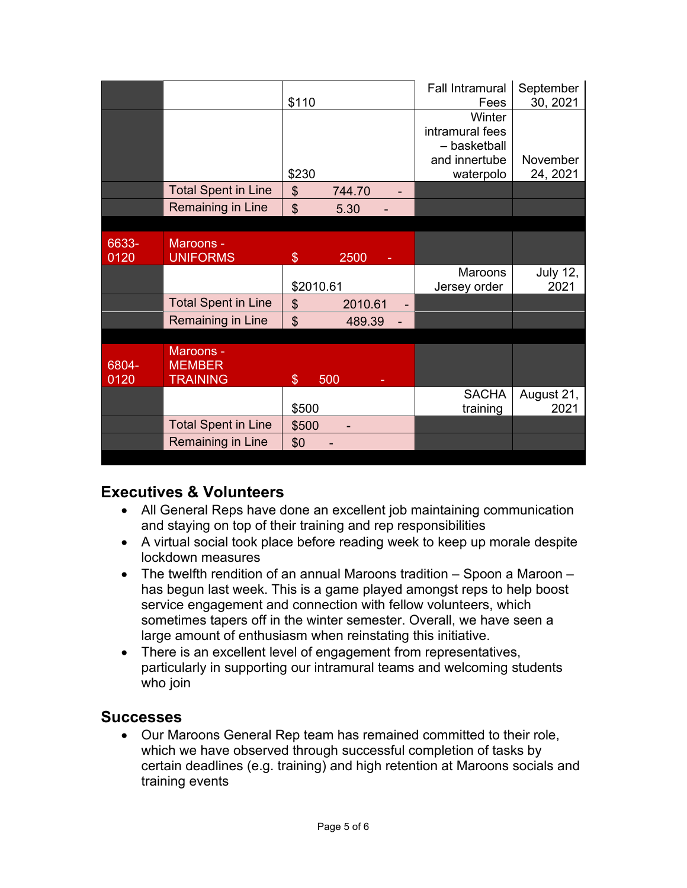|               |                                               | \$110          |         | <b>Fall Intramural</b><br>Fees                                          | September<br>30, 2021   |
|---------------|-----------------------------------------------|----------------|---------|-------------------------------------------------------------------------|-------------------------|
|               |                                               | \$230          |         | Winter<br>intramural fees<br>- basketball<br>and innertube<br>waterpolo | November<br>24, 2021    |
|               | <b>Total Spent in Line</b>                    | $\frac{1}{2}$  | 744.70  |                                                                         |                         |
|               | Remaining in Line                             | $\mathfrak{S}$ | 5.30    |                                                                         |                         |
|               |                                               |                |         |                                                                         |                         |
| 6633-<br>0120 | Maroons -<br><b>UNIFORMS</b>                  | $\$\$          | 2500    |                                                                         |                         |
|               |                                               | \$2010.61      |         | <b>Maroons</b><br>Jersey order                                          | <b>July 12,</b><br>2021 |
|               | <b>Total Spent in Line</b>                    | $\frac{1}{2}$  | 2010.61 |                                                                         |                         |
|               | Remaining in Line                             | $\mathfrak{S}$ | 489.39  |                                                                         |                         |
|               |                                               |                |         |                                                                         |                         |
| 6804-<br>0120 | Maroons -<br><b>MEMBER</b><br><b>TRAINING</b> | $\$\$          | 500     |                                                                         |                         |
|               |                                               | \$500          |         | <b>SACHA</b><br>training                                                | August 21,<br>2021      |
|               | <b>Total Spent in Line</b>                    | \$500          |         |                                                                         |                         |
|               | Remaining in Line                             | \$0            |         |                                                                         |                         |

## **Executives & Volunteers**

- All General Reps have done an excellent job maintaining communication and staying on top of their training and rep responsibilities
- A virtual social took place before reading week to keep up morale despite lockdown measures
- The twelfth rendition of an annual Maroons tradition Spoon a Maroon has begun last week. This is a game played amongst reps to help boost service engagement and connection with fellow volunteers, which sometimes tapers off in the winter semester. Overall, we have seen a large amount of enthusiasm when reinstating this initiative.
- There is an excellent level of engagement from representatives, particularly in supporting our intramural teams and welcoming students who join

#### **Successes**

• Our Maroons General Rep team has remained committed to their role, which we have observed through successful completion of tasks by certain deadlines (e.g. training) and high retention at Maroons socials and training events